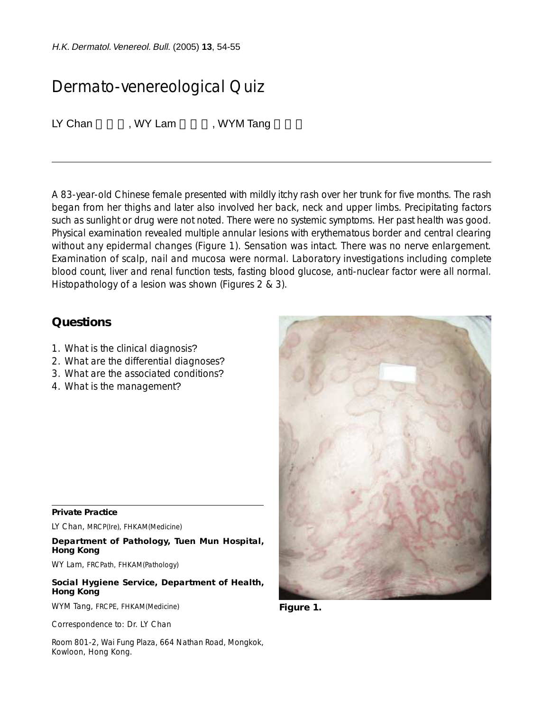H.K. Dermatol.Venereol. Bull. (2005) **13**, 54-55

## Dermato-venereological Quiz

LY Chan , WY Lam , WYM Tang

A 83-year-old Chinese female presented with mildly itchy rash over her trunk for five months. The rash began from her thighs and later also involved her back, neck and upper limbs. Precipitating factors such as sunlight or drug were not noted. There were no systemic symptoms. Her past health was good. Physical examination revealed multiple annular lesions with erythematous border and central clearing without any epidermal changes (Figure 1). Sensation was intact. There was no nerve enlargement. Examination of scalp, nail and mucosa were normal. Laboratory investigations including complete blood count, liver and renal function tests, fasting blood glucose, anti-nuclear factor were all normal. Histopathology of a lesion was shown (Figures 2 & 3).

## **Questions**

- 1. What is the clinical diagnosis?
- 2. What are the differential diagnoses?
- 3. What are the associated conditions?
- 4. What is the management?

## **Private Practice**

LY Chan, MRCP(Ire), FHKAM(Medicine)

**Department of Pathology, Tuen Mun Hospital, Hong Kong**

WY Lam, FRCPath, FHKAM(Pathology)

**Social Hygiene Service, Department of Health, Hong Kong**

WYM Tang, FRCPE, FHKAM(Medicine)

Correspondence to: Dr. LY Chan

Room 801-2, Wai Fung Plaza, 664 Nathan Road, Mongkok, Kowloon, Hong Kong.



**Figure 1.**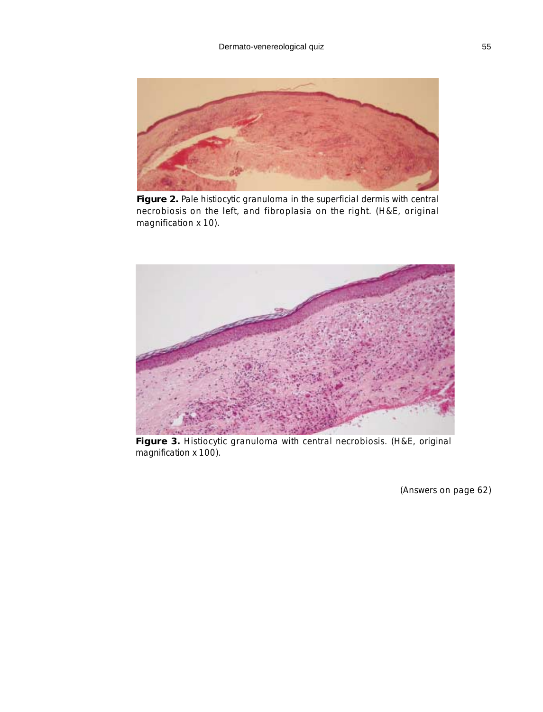

**Figure 2.** Pale histiocytic granuloma in the superficial dermis with central necrobiosis on the left, and fibroplasia on the right. (H&E, original magnification x 10).



**Figure 3.** Histiocytic granuloma with central necrobiosis. (H&E, original magnification x 100).

(Answers on page 62)